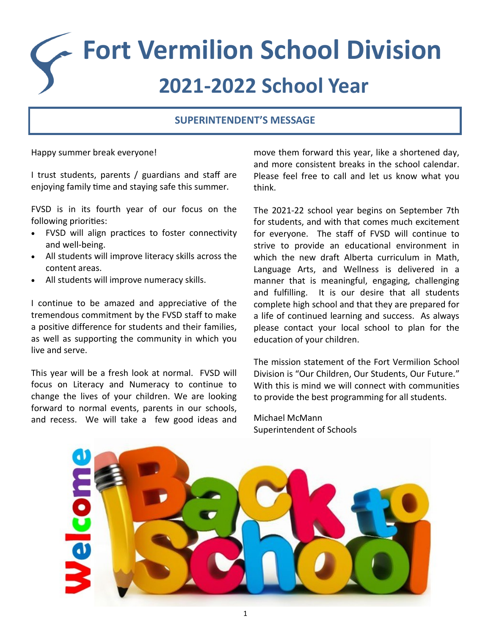# **Fort Vermilion School Division 2021-2022 School Year**

# **SUPERINTENDENT'S MESSAGE**

Happy summer break everyone!

I trust students, parents / guardians and staff are enjoying family time and staying safe this summer.

FVSD is in its fourth year of our focus on the following priorities:

- FVSD will align practices to foster connectivity and well-being.
- All students will improve literacy skills across the content areas.
- All students will improve numeracy skills.

I continue to be amazed and appreciative of the tremendous commitment by the FVSD staff to make a positive difference for students and their families, as well as supporting the community in which you live and serve.

This year will be a fresh look at normal. FVSD will focus on Literacy and Numeracy to continue to change the lives of your children. We are looking forward to normal events, parents in our schools, and recess. We will take a few good ideas and move them forward this year, like a shortened day, and more consistent breaks in the school calendar. Please feel free to call and let us know what you think.

The 2021-22 school year begins on September 7th for students, and with that comes much excitement for everyone. The staff of FVSD will continue to strive to provide an educational environment in which the new draft Alberta curriculum in Math. Language Arts, and Wellness is delivered in a manner that is meaningful, engaging, challenging and fulfilling. It is our desire that all students complete high school and that they are prepared for a life of continued learning and success. As always please contact your local school to plan for the education of your children.

The mission statement of the Fort Vermilion School Division is "Our Children, Our Students, Our Future." With this is mind we will connect with communities to provide the best programming for all students.

Michael McMann Superintendent of Schools

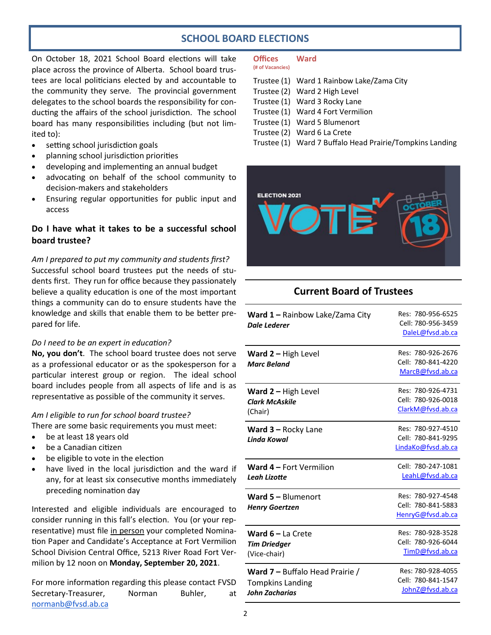# **SCHOOL BOARD ELECTIONS**

On October 18, 2021 School Board elections will take place across the province of Alberta. School board trustees are local politicians elected by and accountable to the community they serve. The provincial government delegates to the school boards the responsibility for conducting the affairs of the school jurisdiction. The school board has many responsibilities including (but not limited to):

- setting school jurisdiction goals
- planning school jurisdiction priorities
- developing and implementing an annual budget
- advocating on behalf of the school community to decision-makers and stakeholders
- Ensuring regular opportunities for public input and access

#### **Do I have what it takes to be a successful school board trustee?**

*Am I prepared to put my community and students first?* Successful school board trustees put the needs of students first. They run for office because they passionately believe a quality education is one of the most important things a community can do to ensure students have the knowledge and skills that enable them to be better prepared for life.

#### *Do I need to be an expert in education?*

**No, you don't**. The school board trustee does not serve as a professional educator or as the spokesperson for a particular interest group or region. The ideal school board includes people from all aspects of life and is as representative as possible of the community it serves.

#### *Am I eligible to run for school board trustee?*

There are some basic requirements you must meet:

- be at least 18 years old
- be a Canadian citizen
- be eligible to vote in the election
- have lived in the local jurisdiction and the ward if any, for at least six consecutive months immediately preceding nomination day

Interested and eligible individuals are encouraged to consider running in this fall's election. You (or your representative) must file in person your completed Nomination Paper and Candidate's Acceptance at Fort Vermilion School Division Central Office, 5213 River Road Fort Vermilion by 12 noon on **Monday, September 20, 2021**.

For more information regarding this please contact FVSD Secretary-Treasurer, Norman Buhler, at normanb@fvsd.ab.ca

#### **Offices Ward (# of Vacancies)**

- Trustee (1) Ward 1 Rainbow Lake/Zama City Trustee (2) Ward 2 High Level Trustee (1) Ward 3 Rocky Lane Trustee (1) Ward 4 Fort Vermilion Trustee (1) Ward 5 Blumenort Trustee (2) Ward 6 La Crete Trustee (1) Ward 7 Buffalo Head Prairie/Tompkins Landing
- 



# **Current Board of Trustees**

| <b>Ward 1 – Rainbow Lake/Zama City</b><br>Dale Lederer | Res: 780-956-6525<br>Cell: 780-956-3459<br>DaleL@fvsd.ab.ca   |
|--------------------------------------------------------|---------------------------------------------------------------|
| Ward 2 - High Level<br><b>Marc Beland</b>              | Res: 780-926-2676<br>Cell: 780-841-4220<br>MarcB@fvsd.ab.ca   |
| Ward 2 - High Level                                    | Res: 780-926-4731                                             |
| <b>Clark McAskile</b>                                  | Cell: 780-926-0018                                            |
| (Chair)                                                | ClarkM@fvsd.ab.ca                                             |
| <b>Ward <math>3 -</math> Rocky Lane</b><br>Linda Kowal | Res: 780-927-4510<br>Cell: 780-841-9295<br>LindaKo@fvsd.ab.ca |
| Ward 4 - Fort Vermilion                                | Cell: 780-247-1081                                            |
| Leah Lizotte                                           | LeahL@fvsd.ab.ca                                              |
| Ward 5 - Blumenort<br><b>Henry Goertzen</b>            | Res: 780-927-4548<br>Cell: 780-841-5883<br>HenryG@fvsd.ab.ca  |
| <b>Ward <math>6 - La</math></b> Crete                  | Res: 780-928-3528                                             |
| <b>Tim Driedger</b>                                    | Cell: 780-926-6044                                            |
| (Vice-chair)                                           | TimD@fvsd.ab.ca                                               |
| <b>Ward 7 - Buffalo Head Prairie /</b>                 | Res: 780-928-4055                                             |
| <b>Tompkins Landing</b>                                | Cell: 780-841-1547                                            |
| <b>John Zacharias</b>                                  | JohnZ@fvsd.ab.ca                                              |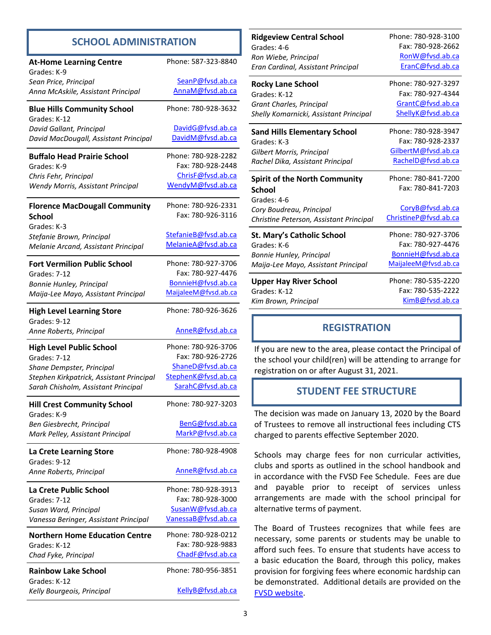# **SCHOOL ADMINISTRATION**

| <b>At-Home Learning Centre</b>                     | Phone: 587-323-8840                        |
|----------------------------------------------------|--------------------------------------------|
| Grades: K-9                                        |                                            |
| Sean Price, Principal                              | SeanP@fvsd.ab.ca                           |
| Anna McAskile, Assistant Principal                 | AnnaM@fvsd.ab.ca                           |
| <b>Blue Hills Community School</b><br>Grades: K-12 | Phone: 780-928-3632                        |
| David Gallant, Principal                           | DavidG@fvsd.ab.ca                          |
| David MacDougall, Assistant Principal              | DavidM@fvsd.ab.ca                          |
| <b>Buffalo Head Prairie School</b>                 | Phone: 780-928-2282                        |
| Grades: K-9                                        | Fax: 780-928-2448                          |
| Chris Fehr, Principal                              | ChrisF@fvsd.ab.ca                          |
| Wendy Morris, Assistant Principal                  | WendyM@fvsd.ab.ca                          |
| <b>Florence MacDougall Community</b>               | Phone: 780-926-2331                        |
| <b>School</b>                                      | Fax: 780-926-3116                          |
| Grades: K-3                                        |                                            |
| Stefanie Brown, Principal                          | StefanieB@fvsd.ab.ca                       |
| Melanie Arcand, Assistant Principal                | MelanieA@fvsd.ab.ca                        |
|                                                    |                                            |
| <b>Fort Vermilion Public School</b>                | Phone: 780-927-3706<br>Fax: 780-927-4476   |
| Grades: 7-12                                       |                                            |
| Bonnie Hunley, Principal                           | BonnieH@fvsd.ab.ca<br>MaijaleeM@fvsd.ab.ca |
| Maija-Lee Mayo, Assistant Principal                |                                            |
| <b>High Level Learning Store</b><br>Grades: 9-12   | Phone: 780-926-3626                        |
| Anne Roberts, Principal                            | AnneR@fvsd.ab.ca                           |
|                                                    |                                            |
| <b>High Level Public School</b>                    | Phone: 780-926-3706                        |
| Grades: 7-12                                       | Fax: 780-926-2726                          |
| Shane Dempster, Principal                          | ShaneD@fvsd.ab.ca                          |
| Stephen Kirkpatrick, Assistant Principal           | StephenK@fvsd.ab.ca                        |
| Sarah Chisholm, Assistant Principal                | SarahC@fvsd.ab.ca                          |
| <b>Hill Crest Community School</b>                 | Phone: 780-927-3203                        |
| Grades: K-9                                        |                                            |
| Ben Giesbrecht, Principal                          | BenG@fvsd.ab.ca<br>MarkP@fvsd.ab.ca        |
| Mark Pelley, Assistant Principal                   |                                            |
| La Crete Learning Store                            | Phone: 780-928-4908                        |
| Grades: 9-12<br>Anne Roberts, Principal            | AnneR@fvsd.ab.ca                           |
| La Crete Public School                             | Phone: 780-928-3913                        |
| Grades: 7-12                                       | Fax: 780-928-3000                          |
| Susan Ward, Principal                              | SusanW@fvsd.ab.ca                          |
| Vanessa Beringer, Assistant Principal              | Vanessa B@fvsd.ab.ca                       |
| <b>Northern Home Education Centre</b>              | Phone: 780-928-0212                        |
| Grades: K-12                                       | Fax: 780-928-9883                          |
| Chad Fyke, Principal                               | ChadF@fvsd.ab.ca                           |
| <b>Rainbow Lake School</b>                         | Phone: 780-956-3851                        |
| Grades: K-12                                       |                                            |

| <b>Ridgeview Central School</b>         | Phone: 780-928-3100   |
|-----------------------------------------|-----------------------|
| Grades: 4-6                             | Fax: 780-928-2662     |
| Ron Wiebe, Principal                    | RonW@fvsd.ab.ca       |
| Eran Cardinal, Assistant Principal      | EranC@fvsd.ab.ca      |
| <b>Rocky Lane School</b>                | Phone: 780-927-3297   |
| Grades: K-12                            | Fax: 780-927-4344     |
| Grant Charles, Principal                | GrantC@fvsd.ab.ca     |
| Shelly Komarnicki, Assistant Principal  | ShellyK@fvsd.ab.ca    |
| <b>Sand Hills Elementary School</b>     | Phone: 780-928-3947   |
| Grades: K-3                             | Fax: 780-928-2337     |
| Gilbert Morris, Principal               | GilbertM@fvsd.ab.ca   |
| Rachel Dika, Assistant Principal        | RachelD@fvsd.ab.ca    |
| <b>Spirit of the North Community</b>    | Phone: 780-841-7200   |
|                                         | Fax: 780-841-7203     |
| School                                  |                       |
| Grades: 4-6                             |                       |
| Cory Boudreau, Principal                | CoryB@fvsd.ab.ca      |
| Christine Peterson, Assistant Principal | ChristineP@fvsd.ab.ca |
| St. Mary's Catholic School              | Phone: 780-927-3706   |
| Grades: K-6                             | Fax: 780-927-4476     |
| Bonnie Hunley, Principal                | BonnieH@fvsd.ab.ca    |
| Maija-Lee Mayo, Assistant Principal     | MaijaleeM@fvsd.ab.ca  |
| <b>Upper Hay River School</b>           | Phone: 780-535-2220   |
| Grades: K-12                            | Fax: 780-535-2222     |
| Kim Brown, Principal                    | KimB@fvsd.ab.ca       |

# **REGISTRATION**

If you are new to the area, please contact the Principal of the school your child(ren) will be attending to arrange for registration on or after August 31, 2021.

# **STUDENT FEE STRUCTURE**

The decision was made on January 13, 2020 by the Board of Trustees to remove all instructional fees including CTS charged to parents effective September 2020.

Schools may charge fees for non curricular activities, clubs and sports as outlined in the school handbook and in accordance with the FVSD Fee Schedule. Fees are due and payable prior to receipt of services unless arrangements are made with the school principal for alternative terms of payment.

The Board of Trustees recognizes that while fees are necessary, some parents or students may be unable to afford such fees. To ensure that students have access to a basic education the Board, through this policy, makes provision for forgiving fees where economic hardship can be demonstrated. Additional details are provided on the [FVSD website.](https://www.fvsd.ab.ca/)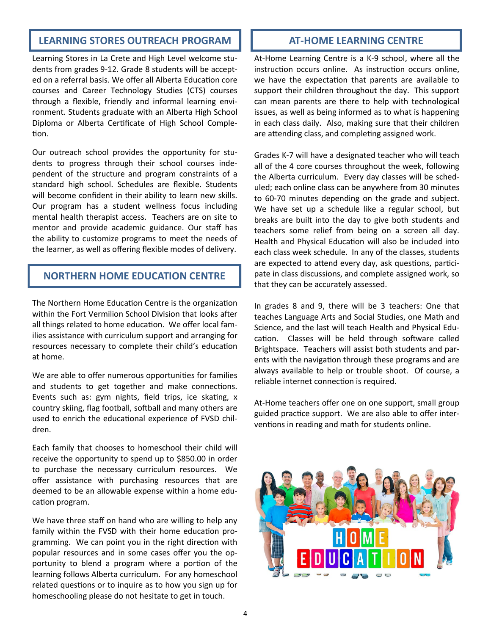# **LEARNING STORES OUTREACH PROGRAM**  $\parallel$  **<b>AT-HOME LEARNING CENTRE**

Learning Stores in La Crete and High Level welcome students from grades 9-12. Grade 8 students will be accepted on a referral basis. We offer all Alberta Education core courses and Career Technology Studies (CTS) courses through a flexible, friendly and informal learning environment. Students graduate with an Alberta High School Diploma or Alberta Certificate of High School Completion.

Our outreach school provides the opportunity for students to progress through their school courses independent of the structure and program constraints of a standard high school. Schedules are flexible. Students will become confident in their ability to learn new skills. Our program has a student wellness focus including mental health therapist access. Teachers are on site to mentor and provide academic guidance. Our staff has the ability to customize programs to meet the needs of the learner, as well as offering flexible modes of delivery.

# **NORTHERN HOME EDUCATION CENTRE**

The Northern Home Education Centre is the organization within the Fort Vermilion School Division that looks after all things related to home education. We offer local families assistance with curriculum support and arranging for resources necessary to complete their child's education at home.

We are able to offer numerous opportunities for families and students to get together and make connections. Events such as: gym nights, field trips, ice skating, x country skiing, flag football, softball and many others are used to enrich the educational experience of FVSD children.

Each family that chooses to homeschool their child will receive the opportunity to spend up to \$850.00 in order to purchase the necessary curriculum resources. We offer assistance with purchasing resources that are deemed to be an allowable expense within a home education program.

We have three staff on hand who are willing to help any family within the FVSD with their home education programming. We can point you in the right direction with popular resources and in some cases offer you the opportunity to blend a program where a portion of the learning follows Alberta curriculum. For any homeschool related questions or to inquire as to how you sign up for homeschooling please do not hesitate to get in touch.

At-Home Learning Centre is a K-9 school, where all the instruction occurs online. As instruction occurs online, we have the expectation that parents are available to support their children throughout the day. This support can mean parents are there to help with technological issues, as well as being informed as to what is happening in each class daily. Also, making sure that their children are attending class, and completing assigned work.

Grades K-7 will have a designated teacher who will teach all of the 4 core courses throughout the week, following the Alberta curriculum. Every day classes will be scheduled; each online class can be anywhere from 30 minutes to 60-70 minutes depending on the grade and subject. We have set up a schedule like a regular school, but breaks are built into the day to give both students and teachers some relief from being on a screen all day. Health and Physical Education will also be included into each class week schedule. In any of the classes, students are expected to attend every day, ask questions, participate in class discussions, and complete assigned work, so that they can be accurately assessed.

In grades 8 and 9, there will be 3 teachers: One that teaches Language Arts and Social Studies, one Math and Science, and the last will teach Health and Physical Education. Classes will be held through software called Brightspace. Teachers will assist both students and parents with the navigation through these programs and are always available to help or trouble shoot. Of course, a reliable internet connection is required.

At-Home teachers offer one on one support, small group guided practice support. We are also able to offer interventions in reading and math for students online.

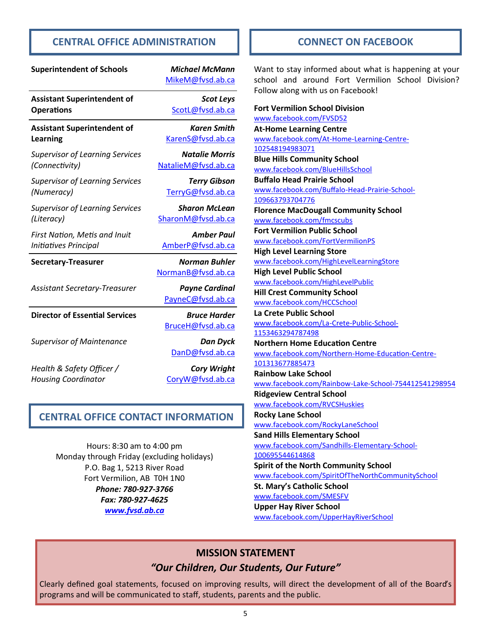# **CENTRAL OFFICE ADMINISTRATION**

| <b>Superintendent of Schools</b>       | <b>Michael McMann</b><br>MikeM@fvsd.ab.ca  |
|----------------------------------------|--------------------------------------------|
| <b>Assistant Superintendent of</b>     | <b>Scot Leys</b>                           |
| <b>Operations</b>                      | ScotL@fvsd.ab.ca                           |
| <b>Assistant Superintendent of</b>     | <b>Karen Smith</b>                         |
| Learning                               | KarenS@fvsd.ab.ca                          |
| <b>Supervisor of Learning Services</b> | <b>Natalie Morris</b>                      |
| (Connectivity)                         | NatalieM@fvsd.ab.ca                        |
| <b>Supervisor of Learning Services</b> | <b>Terry Gibson</b>                        |
| (Numeracy)                             | TerryG@fvsd.ab.ca                          |
| <b>Supervisor of Learning Services</b> | <b>Sharon McLean</b>                       |
| (Literacy)                             | SharonM@fvsd.ab.ca                         |
| First Nation, Metis and Inuit          | <b>Amber Paul</b>                          |
| Initiatives Principal                  | AmberP@fvsd.ab.ca                          |
| <b>Secretary-Treasurer</b>             | <b>Norman Buhler</b><br>NormanB@fvsd.ab.ca |
| <b>Assistant Secretary-Treasurer</b>   | <b>Payne Cardinal</b><br>PayneC@fvsd.ab.ca |
| <b>Director of Essential Services</b>  | <b>Bruce Harder</b><br>BruceH@fvsd.ab.ca   |
| <b>Supervisor of Maintenance</b>       | <b>Dan Dyck</b><br>DanD@fvsd.ab.ca         |
| Health & Safety Officer /              | <b>Cory Wright</b>                         |
| <b>Housing Coordinator</b>             | CoryW@fvsd.ab.ca                           |

# **CENTRAL OFFICE CONTACT INFORMATION**

Hours: 8:30 am to 4:00 pm Monday through Friday (excluding holidays) P.O. Bag 1, 5213 River Road Fort Vermilion, AB T0H 1N0 *Phone: 780-927-3766 Fax: 780-927-4625 [www.fvsd.ab.ca](http://www.fvsd.ab.ca)*

### **CONNECT ON FACEBOOK**

Want to stay informed about what is happening at your school and around Fort Vermilion School Division? Follow along with us on Facebook!

**Fort Vermilion School Division** [www.facebook.com/FVSD52](https://www.facebook.com/FVSD52/) **At-Home Learning Centre** [www.facebook.com/At](http://www.facebook.com/At-Home-Learning-Centre-102548194983071)-Home-Learning-Centre-[102548194983071](http://www.facebook.com/At-Home-Learning-Centre-102548194983071) **Blue Hills Community School** [www.facebook.com/BlueHillsSchool](https://www.facebook.com/BlueHillsSchool) **Buffalo Head Prairie School** [www.facebook.com/Buffalo](https://business.facebook.com/Buffalo-Head-Prairie-School-109663793704776/)-Head-Prairie-School-[109663793704776](https://business.facebook.com/Buffalo-Head-Prairie-School-109663793704776/) **Florence MacDougall Community School** [www.facebook.com/fmcscubs](https://www.facebook.com/fmcscubs/) **Fort Vermilion Public School** [www.facebook.com/FortVermilionPS](https://www.facebook.com/FortVermilionPS/) **High Level Learning Store** [www.facebook.com/HighLevelLearningStore](https://www.facebook.com/HighLevelLearningStore/) **High Level Public School** [www.facebook.com/HighLevelPublic](https://www.facebook.com/HighLevelPublic/) **Hill Crest Community School** [www.facebook.com/HCCSchool](https://www.facebook.com/HCCSchool/) **La Crete Public School** [www.facebook.com/La](https://www.facebook.com/La-Crete-Public-School-1153463294787498/)-Crete-Public-School-[1153463294787498](https://www.facebook.com/La-Crete-Public-School-1153463294787498/) **Northern Home Education Centre** [www.facebook.com/Northern](https://business.facebook.com/Northern-Home-Education-Centre-101313677885473/)-Home-Education-Centre-[101313677885473](https://business.facebook.com/Northern-Home-Education-Centre-101313677885473/) **Rainbow Lake School** [www.facebook.com/Rainbow](https://www.facebook.com/Rainbow-Lake-School-754412541298954/)-Lake-School-754412541298954 **Ridgeview Central School** [www.facebook.com/RVCSHuskies](https://www.facebook.com/RVCSHuskies/) **Rocky Lane School** [www.facebook.com/RockyLaneSchool](https://www.facebook.com/RockyLaneSchool/) **Sand Hills Elementary School** [www.facebook.com/Sandhills](https://www.facebook.com/Sandhills-Elementary-School-100695544614868/)-Elementary-School-[100695544614868](https://www.facebook.com/Sandhills-Elementary-School-100695544614868/) **Spirit of the North Community School** [www.facebook.com/SpiritOfTheNorthCommunitySchool](https://www.facebook.com/SpiritOfTheNorthCommunitySchool/) **St. Mary's Catholic School** [www.facebook.com/SMESFV](https://www.facebook.com/SMESFV/) **Upper Hay River School** [www.facebook.com/UpperHayRiverSchool](https://www.facebook.com/UpperHayRiverSchool/)

# **MISSION STATEMENT**

# *"Our Children, Our Students, Our Future"*

Clearly defined goal statements, focused on improving results, will direct the development of all of the Board's programs and will be communicated to staff, students, parents and the public.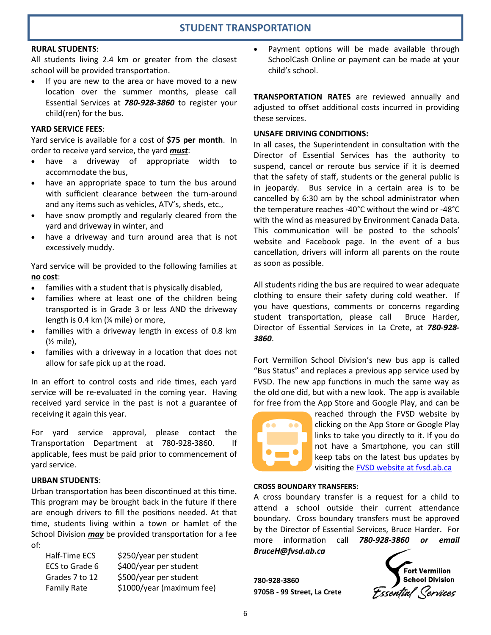# **STUDENT TRANSPORTATION**

#### **RURAL STUDENTS**:

All students living 2.4 km or greater from the closest school will be provided transportation.

• If you are new to the area or have moved to a new location over the summer months, please call Essential Services at *780-928-3860* to register your child(ren) for the bus.

#### **YARD SERVICE FEES**:

Yard service is available for a cost of **\$75 per month**. In order to receive yard service, the yard *must*:

- have a driveway of appropriate width to accommodate the bus,
- have an appropriate space to turn the bus around with sufficient clearance between the turn-around and any items such as vehicles, ATV's, sheds, etc.,
- have snow promptly and regularly cleared from the yard and driveway in winter, and
- have a driveway and turn around area that is not excessively muddy.

Yard service will be provided to the following families at **no cost**:

- families with a student that is physically disabled,
- families where at least one of the children being transported is in Grade 3 or less AND the driveway length is 0.4 km (¼ mile) or more,
- families with a driveway length in excess of 0.8 km  $($  mile),
- families with a driveway in a location that does not allow for safe pick up at the road.

In an effort to control costs and ride times, each yard service will be re-evaluated in the coming year. Having received yard service in the past is not a guarantee of receiving it again this year.

For yard service approval, please contact the Transportation Department at 780-928-3860. If applicable, fees must be paid prior to commencement of yard service.

#### **URBAN STUDENTS**:

Urban transportation has been discontinued at this time. This program may be brought back in the future if there are enough drivers to fill the positions needed. At that time, students living within a town or hamlet of the School Division *may* be provided transportation for a fee of:

| \$250/year per student    |
|---------------------------|
| \$400/year per student    |
| \$500/year per student    |
| \$1000/year (maximum fee) |
|                           |

Payment options will be made available through SchoolCash Online or payment can be made at your child's school.

**TRANSPORTATION RATES** are reviewed annually and adjusted to offset additional costs incurred in providing these services.

#### **UNSAFE DRIVING CONDITIONS:**

In all cases, the Superintendent in consultation with the Director of Essential Services has the authority to suspend, cancel or reroute bus service if it is deemed that the safety of staff, students or the general public is in jeopardy. Bus service in a certain area is to be cancelled by 6:30 am by the school administrator when the temperature reaches -40°C without the wind or -48°C with the wind as measured by Environment Canada Data. This communication will be posted to the schools' website and Facebook page. In the event of a bus cancellation, drivers will inform all parents on the route as soon as possible.

All students riding the bus are required to wear adequate clothing to ensure their safety during cold weather. If you have questions, comments or concerns regarding student transportation, please call Bruce Harder, Director of Essential Services in La Crete, at *780-928- 3860*.

Fort Vermilion School Division's new bus app is called "Bus Status" and replaces a previous app service used by FVSD. The new app functions in much the same way as the old one did, but with a new look. The app is available for free from the App Store and Google Play, and can be



reached through the FVSD website by clicking on the App Store or Google Play links to take you directly to it. If you do not have a Smartphone, you can still keep tabs on the latest bus updates by visiting the [FVSD website at fvsd.ab.ca](https://www.fvsd.ab.ca/parents/bus-statuses)

#### **CROSS BOUNDARY TRANSFERS:**

A cross boundary transfer is a request for a child to attend a school outside their current attendance boundary. Cross boundary transfers must be approved by the Director of Essential Services, Bruce Harder. For more information call *780-928-3860 or email BruceH@fvsd.ab.ca*

**780-928-3860 9705B - 99 Street, La Crete**